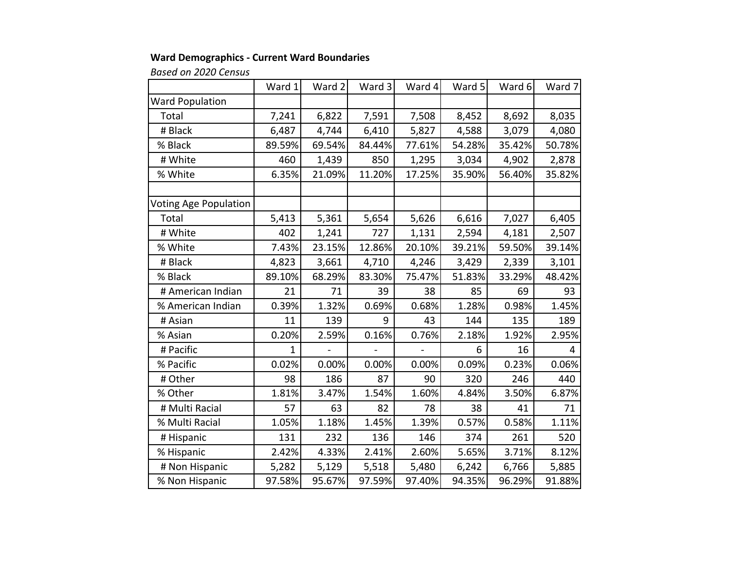## **Ward Demographics ‐ Current Ward Boundaries**

*Based on 2020 Census*

|                              | Ward 1       | Ward 2 | Ward 3 | Ward 4 | Ward 5 | Ward 6 | Ward 7 |
|------------------------------|--------------|--------|--------|--------|--------|--------|--------|
| <b>Ward Population</b>       |              |        |        |        |        |        |        |
| Total                        | 7,241        | 6,822  | 7,591  | 7,508  | 8,452  | 8,692  | 8,035  |
| # Black                      | 6,487        | 4,744  | 6,410  | 5,827  | 4,588  | 3,079  | 4,080  |
| % Black                      | 89.59%       | 69.54% | 84.44% | 77.61% | 54.28% | 35.42% | 50.78% |
| # White                      | 460          | 1,439  | 850    | 1,295  | 3,034  | 4,902  | 2,878  |
| % White                      | 6.35%        | 21.09% | 11.20% | 17.25% | 35.90% | 56.40% | 35.82% |
|                              |              |        |        |        |        |        |        |
| <b>Voting Age Population</b> |              |        |        |        |        |        |        |
| Total                        | 5,413        | 5,361  | 5,654  | 5,626  | 6,616  | 7,027  | 6,405  |
| # White                      | 402          | 1,241  | 727    | 1,131  | 2,594  | 4,181  | 2,507  |
| % White                      | 7.43%        | 23.15% | 12.86% | 20.10% | 39.21% | 59.50% | 39.14% |
| # Black                      | 4,823        | 3,661  | 4,710  | 4,246  | 3,429  | 2,339  | 3,101  |
| % Black                      | 89.10%       | 68.29% | 83.30% | 75.47% | 51.83% | 33.29% | 48.42% |
| # American Indian            | 21           | 71     | 39     | 38     | 85     | 69     | 93     |
| % American Indian            | 0.39%        | 1.32%  | 0.69%  | 0.68%  | 1.28%  | 0.98%  | 1.45%  |
| # Asian                      | 11           | 139    | 9      | 43     | 144    | 135    | 189    |
| % Asian                      | 0.20%        | 2.59%  | 0.16%  | 0.76%  | 2.18%  | 1.92%  | 2.95%  |
| # Pacific                    | $\mathbf{1}$ |        |        |        | 6      | 16     | 4      |
| % Pacific                    | 0.02%        | 0.00%  | 0.00%  | 0.00%  | 0.09%  | 0.23%  | 0.06%  |
| # Other                      | 98           | 186    | 87     | 90     | 320    | 246    | 440    |
| % Other                      | 1.81%        | 3.47%  | 1.54%  | 1.60%  | 4.84%  | 3.50%  | 6.87%  |
| # Multi Racial               | 57           | 63     | 82     | 78     | 38     | 41     | 71     |
| % Multi Racial               | 1.05%        | 1.18%  | 1.45%  | 1.39%  | 0.57%  | 0.58%  | 1.11%  |
| # Hispanic                   | 131          | 232    | 136    | 146    | 374    | 261    | 520    |
| % Hispanic                   | 2.42%        | 4.33%  | 2.41%  | 2.60%  | 5.65%  | 3.71%  | 8.12%  |
| # Non Hispanic               | 5,282        | 5,129  | 5,518  | 5,480  | 6,242  | 6,766  | 5,885  |
| % Non Hispanic               | 97.58%       | 95.67% | 97.59% | 97.40% | 94.35% | 96.29% | 91.88% |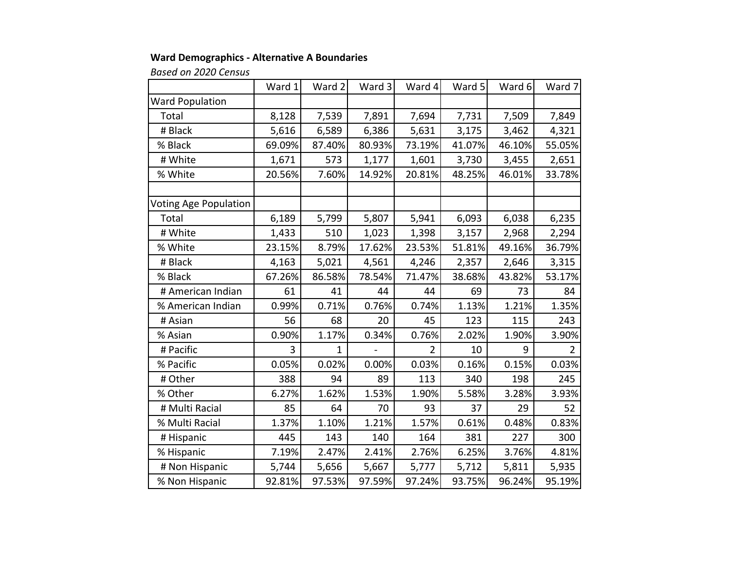## **Ward Demographics ‐ Alternative A Boundaries**

*Based on 2020 Census*

|                              | Ward 1 | Ward 2       | Ward 3 | Ward 4         | Ward 5 | Ward 6 | Ward 7         |
|------------------------------|--------|--------------|--------|----------------|--------|--------|----------------|
| <b>Ward Population</b>       |        |              |        |                |        |        |                |
| Total                        | 8,128  | 7,539        | 7,891  | 7,694          | 7,731  | 7,509  | 7,849          |
| # Black                      | 5,616  | 6,589        | 6,386  | 5,631          | 3,175  | 3,462  | 4,321          |
| % Black                      | 69.09% | 87.40%       | 80.93% | 73.19%         | 41.07% | 46.10% | 55.05%         |
| # White                      | 1,671  | 573          | 1,177  | 1,601          | 3,730  | 3,455  | 2,651          |
| % White                      | 20.56% | 7.60%        | 14.92% | 20.81%         | 48.25% | 46.01% | 33.78%         |
|                              |        |              |        |                |        |        |                |
| <b>Voting Age Population</b> |        |              |        |                |        |        |                |
| Total                        | 6,189  | 5,799        | 5,807  | 5,941          | 6,093  | 6,038  | 6,235          |
| # White                      | 1,433  | 510          | 1,023  | 1,398          | 3,157  | 2,968  | 2,294          |
| % White                      | 23.15% | 8.79%        | 17.62% | 23.53%         | 51.81% | 49.16% | 36.79%         |
| # Black                      | 4,163  | 5,021        | 4,561  | 4,246          | 2,357  | 2,646  | 3,315          |
| % Black                      | 67.26% | 86.58%       | 78.54% | 71.47%         | 38.68% | 43.82% | 53.17%         |
| # American Indian            | 61     | 41           | 44     | 44             | 69     | 73     | 84             |
| % American Indian            | 0.99%  | 0.71%        | 0.76%  | 0.74%          | 1.13%  | 1.21%  | 1.35%          |
| # Asian                      | 56     | 68           | 20     | 45             | 123    | 115    | 243            |
| % Asian                      | 0.90%  | 1.17%        | 0.34%  | 0.76%          | 2.02%  | 1.90%  | 3.90%          |
| # Pacific                    | 3      | $\mathbf{1}$ |        | $\overline{2}$ | 10     | 9      | $\overline{2}$ |
| % Pacific                    | 0.05%  | 0.02%        | 0.00%  | 0.03%          | 0.16%  | 0.15%  | 0.03%          |
| # Other                      | 388    | 94           | 89     | 113            | 340    | 198    | 245            |
| % Other                      | 6.27%  | 1.62%        | 1.53%  | 1.90%          | 5.58%  | 3.28%  | 3.93%          |
| # Multi Racial               | 85     | 64           | 70     | 93             | 37     | 29     | 52             |
| % Multi Racial               | 1.37%  | 1.10%        | 1.21%  | 1.57%          | 0.61%  | 0.48%  | 0.83%          |
| # Hispanic                   | 445    | 143          | 140    | 164            | 381    | 227    | 300            |
| % Hispanic                   | 7.19%  | 2.47%        | 2.41%  | 2.76%          | 6.25%  | 3.76%  | 4.81%          |
| # Non Hispanic               | 5,744  | 5,656        | 5,667  | 5,777          | 5,712  | 5,811  | 5,935          |
| % Non Hispanic               | 92.81% | 97.53%       | 97.59% | 97.24%         | 93.75% | 96.24% | 95.19%         |